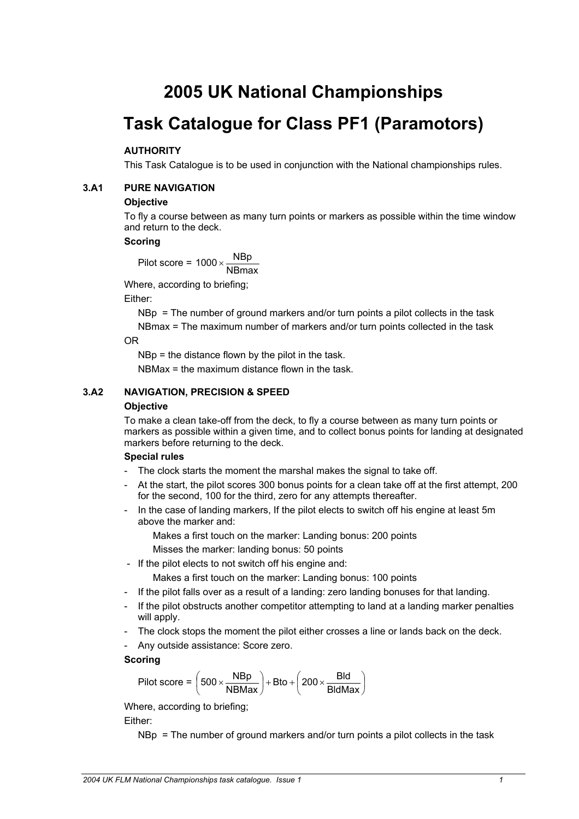# **2005 UK National Championships**

# **Task Catalogue for Class PF1 (Paramotors)**

# **AUTHORITY**

This Task Catalogue is to be used in conjunction with the National championships rules.

### **3.A1 PURE NAVIGATION**

#### **Objective**

To fly a course between as many turn points or markers as possible within the time window and return to the deck.

#### **Scoring**

Pilot score =  $1000 \times \frac{\text{NBp}}{\text{NBmax}}$ 

Where, according to briefing;

Either:

NBp = The number of ground markers and/or turn points a pilot collects in the task NBmax = The maximum number of markers and/or turn points collected in the task

OR

NBp = the distance flown by the pilot in the task.

NBMax  $=$  the maximum distance flown in the task.

# **3.A2 NAVIGATION, PRECISION & SPEED**

#### **Objective**

To make a clean take-off from the deck, to fly a course between as many turn points or markers as possible within a given time, and to collect bonus points for landing at designated markers before returning to the deck.

#### **Special rules**

- The clock starts the moment the marshal makes the signal to take off.
- At the start, the pilot scores 300 bonus points for a clean take off at the first attempt, 200 for the second, 100 for the third, zero for any attempts thereafter.
- In the case of landing markers, If the pilot elects to switch off his engine at least 5m above the marker and:

Makes a first touch on the marker: Landing bonus: 200 points

Misses the marker: landing bonus: 50 points

- If the pilot elects to not switch off his engine and:
	- Makes a first touch on the marker: Landing bonus: 100 points
- If the pilot falls over as a result of a landing: zero landing bonuses for that landing.
- If the pilot obstructs another competitor attempting to land at a landing marker penalties will apply.
- The clock stops the moment the pilot either crosses a line or lands back on the deck.
- Any outside assistance: Score zero.

#### **Scoring**

$$
Pilot score = \left(500 \times \frac{N Bp}{N B Max}\right) + Bto + \left(200 \times \frac{B Id}{B Id Max}\right)
$$

Where, according to briefing; Either:

NBp  $=$  The number of ground markers and/or turn points a pilot collects in the task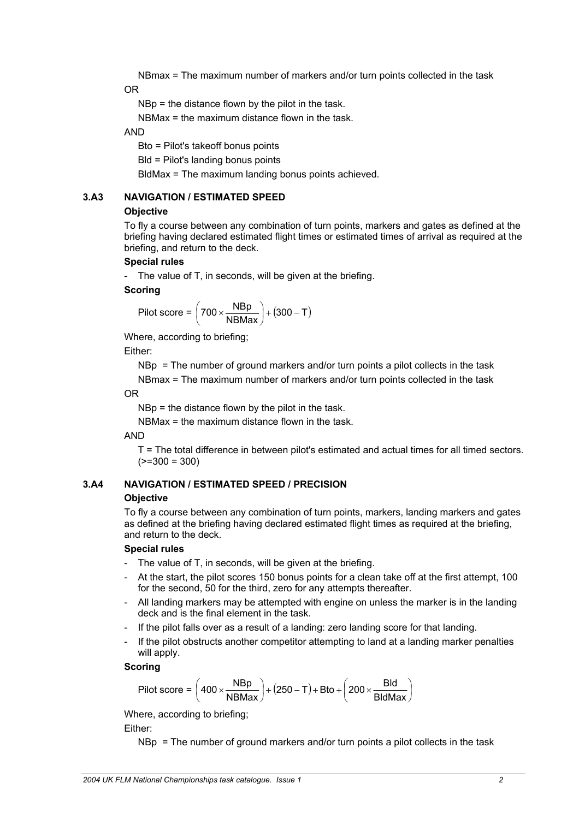NBmax = The maximum number of markers and/or turn points collected in the task OR

NBp = the distance flown by the pilot in the task.

NBMax = the maximum distance flown in the task.

AND

Bto = Pilot's takeoff bonus points

Bld = Pilot's landing bonus points

BldMax = The maximum landing bonus points achieved.

#### **3.A3 NAVIGATION / ESTIMATED SPEED**

#### **Objective**

To fly a course between any combination of turn points, markers and gates as defined at the briefing having declared estimated flight times or estimated times of arrival as required at the briefing, and return to the deck.

#### **Special rules**

- The value of T, in seconds, will be given at the briefing.

#### **Scoring**

$$
Pilot score = \left(700 \times \frac{NBP}{NBMax}\right) + (300 - T)
$$

Where, according to briefing;

Either:

NBp = The number of ground markers and/or turn points a pilot collects in the task

NBmax = The maximum number of markers and/or turn points collected in the task OR

NBp = the distance flown by the pilot in the task.

NBMax = the maximum distance flown in the task.

#### AND

T = The total difference in between pilot's estimated and actual times for all timed sectors.  $(>=300 = 300)$ 

#### **3.A4 NAVIGATION / ESTIMATED SPEED / PRECISION Objective**

To fly a course between any combination of turn points, markers, landing markers and gates as defined at the briefing having declared estimated flight times as required at the briefing, and return to the deck.

#### **Special rules**

- The value of T, in seconds, will be given at the briefing.
- At the start, the pilot scores 150 bonus points for a clean take off at the first attempt, 100 for the second, 50 for the third, zero for any attempts thereafter.
- All landing markers may be attempted with engine on unless the marker is in the landing deck and is the final element in the task.
- If the pilot falls over as a result of a landing: zero landing score for that landing.
- If the pilot obstructs another competitor attempting to land at a landing marker penalties will apply.

#### **Scoring**

$$
\text{Pilot score} = \left(400 \times \frac{\text{Nbp}}{\text{NBMax}}\right) + \left(250 - T\right) + \text{Bto} + \left(200 \times \frac{\text{Bld}}{\text{BldMax}}\right)
$$

Where, according to briefing;

Either:

NBp = The number of ground markers and/or turn points a pilot collects in the task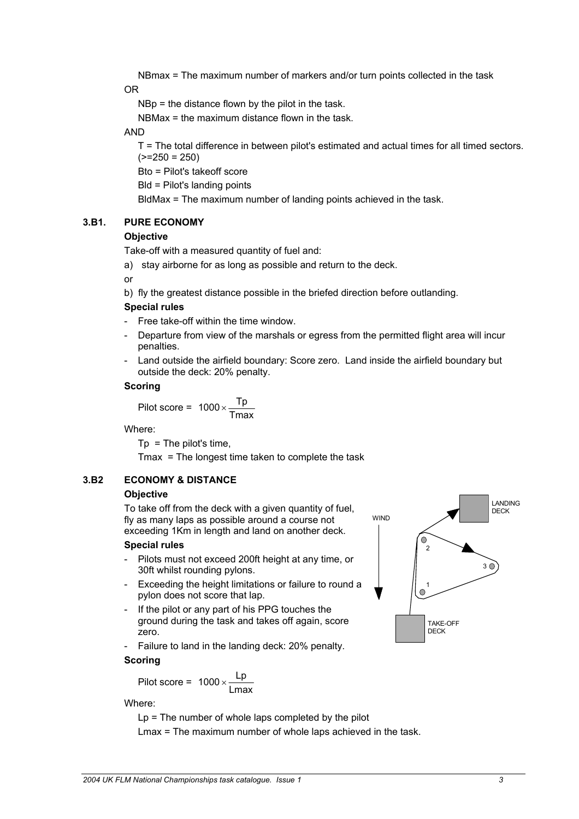NBmax = The maximum number of markers and/or turn points collected in the task OR

NBp = the distance flown by the pilot in the task.

NBMax = the maximum distance flown in the task.

AND

T = The total difference in between pilot's estimated and actual times for all timed sectors.  $(>=250 = 250)$ 

Bto = Pilot's takeoff score

Bld = Pilot's landing points

BldMax = The maximum number of landing points achieved in the task.

# **3.B1. PURE ECONOMY**

# **Objective**

Take-off with a measured quantity of fuel and:

a) stay airborne for as long as possible and return to the deck.

or

b) fly the greatest distance possible in the briefed direction before outlanding.

#### **Special rules**

- Free take-off within the time window.
- Departure from view of the marshals or egress from the permitted flight area will incur penalties.
- Land outside the airfield boundary: Score zero. Land inside the airfield boundary but outside the deck: 20% penalty.

#### **Scoring**

$$
Pilot score = 1000 \times \frac{Tp}{Tmax}
$$

Where:

 $Tp = The pilot's time,$ 

Tmax = The longest time taken to complete the task

# **3.B2 ECONOMY & DISTANCE**

#### **Objective**

To take off from the deck with a given quantity of fuel, fly as many laps as possible around a course not exceeding 1Km in length and land on another deck.

#### **Special rules**

- Pilots must not exceed 200ft height at any time, or 30ft whilst rounding pylons.
- Exceeding the height limitations or failure to round a pylon does not score that lap.
- If the pilot or any part of his PPG touches the ground during the task and takes off again, score zero.
- Failure to land in the landing deck: 20% penalty. **Scoring**

# Pilot score =  $1000 \times \frac{\text{Lp}}{\text{Lmax}}$

# Where:

 $Lp$  = The number of whole laps completed by the pilot Lmax = The maximum number of whole laps achieved in the task.

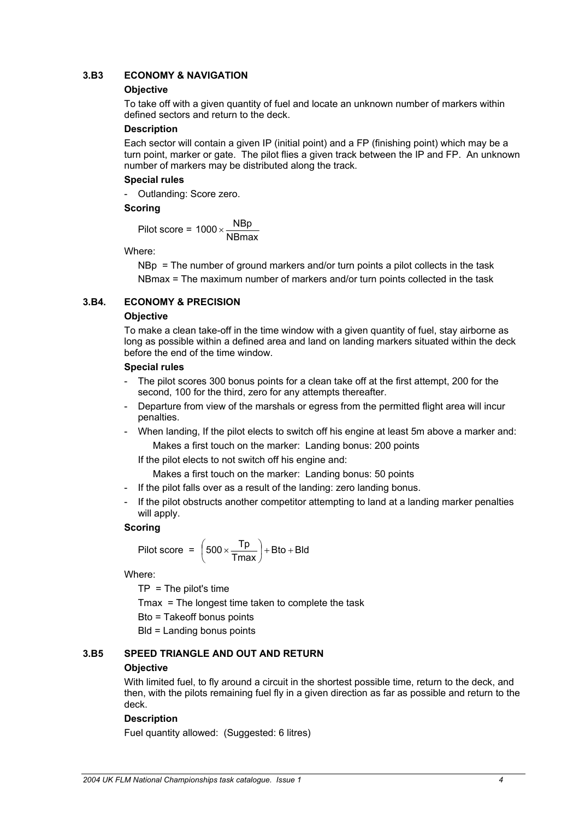# **3.B3 ECONOMY & NAVIGATION**

#### **Objective**

To take off with a given quantity of fuel and locate an unknown number of markers within defined sectors and return to the deck.

#### **Description**

Each sector will contain a given IP (initial point) and a FP (finishing point) which may be a turn point, marker or gate. The pilot flies a given track between the IP and FP. An unknown number of markers may be distributed along the track.

#### **Special rules**

- Outlanding: Score zero.

#### **Scoring**

Pilot score = 1000  $\times\frac{\text{NBP}}{\text{NBmax}}$ 

Where:

NBp = The number of ground markers and/or turn points a pilot collects in the task NBmax = The maximum number of markers and/or turn points collected in the task

# **3.B4. ECONOMY & PRECISION**

#### **Objective**

To make a clean take-off in the time window with a given quantity of fuel, stay airborne as long as possible within a defined area and land on landing markers situated within the deck before the end of the time window.

#### **Special rules**

- The pilot scores 300 bonus points for a clean take off at the first attempt, 200 for the second, 100 for the third, zero for any attempts thereafter.
- Departure from view of the marshals or egress from the permitted flight area will incur penalties.
- When landing, If the pilot elects to switch off his engine at least 5m above a marker and: Makes a first touch on the marker: Landing bonus: 200 points

If the pilot elects to not switch off his engine and:

Makes a first touch on the marker: Landing bonus: 50 points

- If the pilot falls over as a result of the landing: zero landing bonus.
- If the pilot obstructs another competitor attempting to land at a landing marker penalties will apply.

#### **Scoring**

$$
Pilot score = \left(500 \times \frac{Tp}{Tmax}\right) + Bto + Bld
$$

Where:

 $TP = The$  pilot's time

Tmax = The longest time taken to complete the task

Bto = Takeoff bonus points

Bld = Landing bonus points

# **3.B5 SPEED TRIANGLE AND OUT AND RETURN**

#### **Objective**

With limited fuel, to fly around a circuit in the shortest possible time, return to the deck, and then, with the pilots remaining fuel fly in a given direction as far as possible and return to the deck.

#### **Description**

Fuel quantity allowed: (Suggested: 6 litres)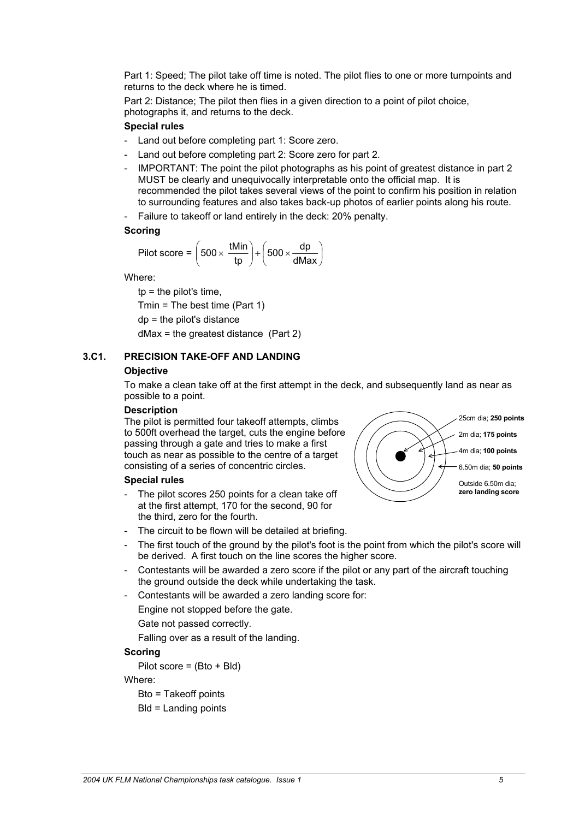Part 1: Speed; The pilot take off time is noted. The pilot flies to one or more turnpoints and returns to the deck where he is timed.

Part 2: Distance; The pilot then flies in a given direction to a point of pilot choice, photographs it, and returns to the deck.

#### **Special rules**

- Land out before completing part 1: Score zero.
- Land out before completing part 2: Score zero for part 2.
- IMPORTANT: The point the pilot photographs as his point of greatest distance in part 2 MUST be clearly and unequivocally interpretable onto the official map. It is recommended the pilot takes several views of the point to confirm his position in relation to surrounding features and also takes back-up photos of earlier points along his route.
- Failure to takeoff or land entirely in the deck: 20% penalty.

#### **Scoring**

$$
Pilot score = \left(500 \times \frac{tMin}{tp}\right) + \left(500 \times \frac{dp}{dMax}\right)
$$

Where:

 $tp =$  the pilot's time, Tmin = The best time (Part 1) dp = the pilot's distance dMax = the greatest distance (Part 2)

#### **3.C1. PRECISION TAKE-OFF AND LANDING**

#### **Objective**

To make a clean take off at the first attempt in the deck, and subsequently land as near as possible to a point.

#### **Description**

The pilot is permitted four takeoff attempts, climbs to 500ft overhead the target, cuts the engine b efore passing through a gate and tries to make a first touch as near as possible to the centre of a targe t consisting of a series of concentric circles.

#### **Special rules**

- The pilot scores 250 points for a clean take off at the first attempt, 170 for the second, 90 for the third, zero for the fourth.
- The circuit to be flown will be detailed at briefing.
- The first touch of the ground by the pilot's foot is the point from which the pilot's score will be derived. A first touch on the line scores the higher score.
- Contestants will be awarded a zero score if the pilot or any part of the aircraft touching the ground outside the deck while undertaking the task.
- Contestants will be awarded a zero landing score for:
	- Engine not stopped before the gate.
	- Gate not passed correctly.

Falling over as a result of the landing.

#### **Scoring**

Pilot score =  $(Bto + Bld)$ 

Where:

Bto = Takeoff points

Bld = Landing points

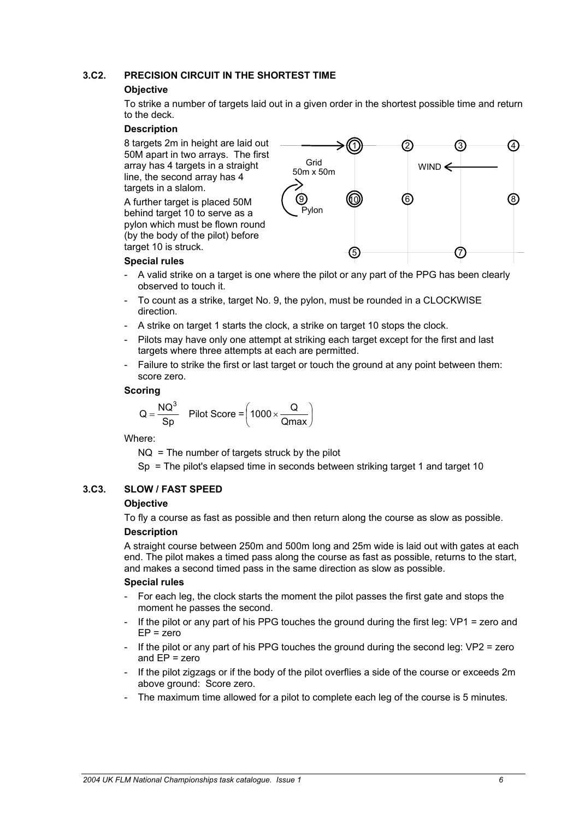# **3.C2. PRECISION CIRCUIT IN THE SHORTEST TIME**

#### **Objective**

To strike a number of targets laid out in a given order in the shortest possible time and return to the deck.

#### **Description**

8 targets 2m in height are laid out 4 50M apart in two arrays. The first array has 4 targets in a straight line, the second array has 4 targets in a slalom.

A further target is placed 50M behind target 10 to serve as a pylon which must be flown round (by the body of the pilot) before target 10 is struck.



#### **Special rules**

- A valid strike on a target is one where the pilot or any part of the PPG has been clearly observed to touch it.
- To count as a strike, target No. 9, the pylon, must be rounded in a CLOCKWISE direction.
- A strike on target 1 starts the clock, a strike on target 10 stops the clock.
- Pilots may have only one attempt at striking each target except for the first and last targets where three attempts at each are permitted.
- Failure to strike the first or last target or touch the ground at any point between them: score zero.

#### **Scoring**

$$
Q = \frac{NQ^3}{Sp}
$$
 Pilot Score =  $\left(1000 \times \frac{Q}{Qmax}\right)$ 

Where:

 $NQ = The$  number of targets struck by the pilot

Sp = The pilot's elapsed time in seconds between striking target 1 and target 10

# **3.C3. SLOW / FAST SPEED**

#### **Objective**

To fly a course as fast as possible and then return along the course as slow as possible.

#### **Description**

A straight course between 250m and 500m long and 25m wide is laid out with gates at each end. The pilot makes a timed pass along the course as fast as possible, returns to the start, and makes a second timed pass in the same direction as slow as possible.

#### **Special rules**

- For each leg, the clock starts the moment the pilot passes the first gate and stops the moment he passes the second.
- If the pilot or any part of his PPG touches the ground during the first leg:  $VP1 =$ zero and EP = zero
- If the pilot or any part of his PPG touches the ground during the second leg:  $VP2$  = zero and  $EP = zero$
- If the pilot zigzags or if the body of the pilot overflies a side of the course or exceeds 2m above ground: Score zero.
- The maximum time allowed for a pilot to complete each leg of the course is 5 minutes.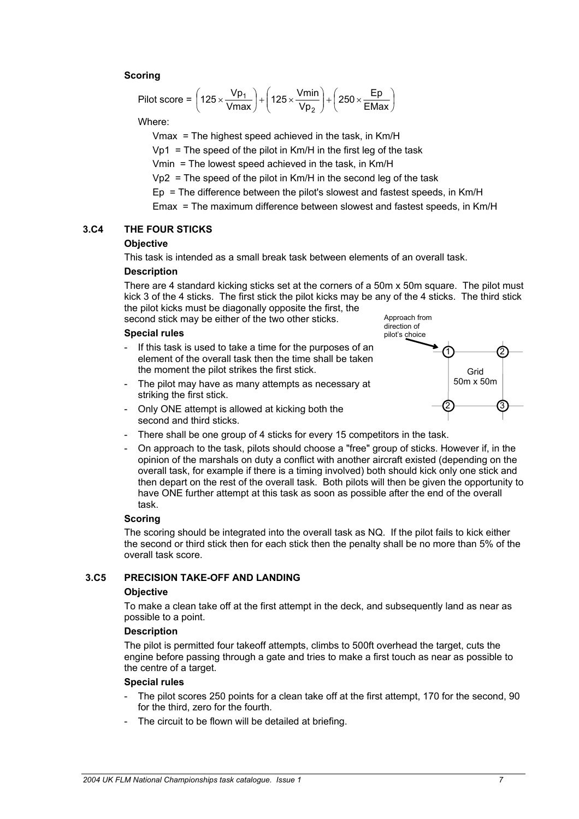# **Scoring**

Pilot score = 
$$
\left(125 \times \frac{Vp_1}{Vmax}\right) + \left(125 \times \frac{Vmin}{Vp_2}\right) + \left(250 \times \frac{Ep}{EMax}\right)
$$

Where:

Vmax = The highest speed achieved in the task, in Km/H

 $Vp1 = The speed of the pilot in KM/H in the first lead of the task.$ 

Vmin = The lowest speed achieved in the task, in Km/H

 $Vp2$  = The speed of the pilot in Km/H in the second leg of the task

 $Ep = The difference between the pilot's slowest and fastest speeds, in  $Km/H$$ 

Emax = The maximum difference between slowest and fastest speeds, in Km/H

#### **3.C4 THE FOUR STICKS**

#### **Objective**

This task is intended as a small break task between elements of an overall task.

#### **Description**

There are 4 standard kicking sticks set at the corners of a 50m x 50m square. The pilot must kick 3 of the 4 sticks. The first stick the pilot kicks may be any of the 4 sticks. The third stick the pilot kicks must be diagonally opposite the first, the

second stick may be either of the two other sticks.

#### **Special rules**

- If this task is used to take a time for the purposes of an element of the overall task then the time shall be take n the moment the pilot strikes the first stick.
- The pilot may have as many attempts as necessary at striking the first stick.



- Only ONE attempt is allowed at kicking both the second and third sticks.
- There shall be one group of 4 sticks for every 15 competitors in the task.
- On approach to the task, pilots should choose a "free" group of sticks. However if, in the opinion of the marshals on duty a conflict with another aircraft existed (depending on the overall task, for example if there is a timing involved) both should kick only one stick and then depart on the rest of the overall task. Both pilots will then be given the opportunity to have ONE further attempt at this task as soon as possible after the end of the overall task.

#### **Scoring**

The scoring should be integrated into the overall task as NQ. If the pilot fails to kick either the second or third stick then for each stick then the penalty shall be no more than 5% of the overall task score.

#### **3.C5 PRECISION TAKE-OFF AND LANDING**

#### **Objective**

To make a clean take off at the first attempt in the deck, and subsequently land as near as possible to a point.

#### **Description**

The pilot is permitted four takeoff attempts, climbs to 500ft overhead the target, cuts the engine before passing through a gate and tries to make a first touch as near as possible to the centre of a target.

#### **Special rules**

- The pilot scores 250 points for a clean take off at the first attempt, 170 for the second, 90 for the third, zero for the fourth.
- The circuit to be flown will be detailed at briefing.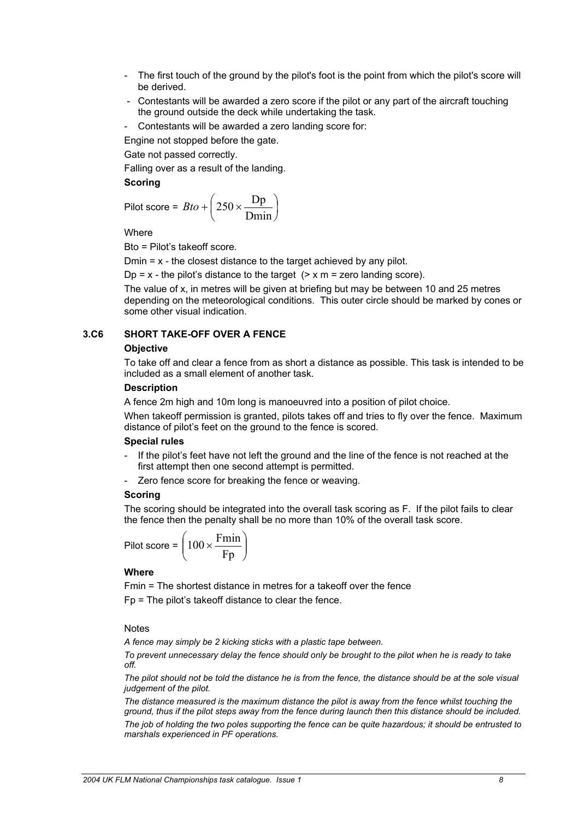- The first touch of the ground by the pilot's foot is the point from which the pilot's score will be derived.
- Contestants will be awarded a zero score if the pilot or any part of the aircraft touching the ground outside the deck while undertaking the task.
- Contestants will be awarded a zero landing score for:

Engine not stopped before the gate.

Gate not passed correctly.

Falling over as a result of the landing.

#### **Scoring**

$$
Pilot score = Bto + \left(250 \times \frac{Dp}{Dmin}\right)
$$

**Where** 

Bto = Pilot's takeoff score.

Dmin  $= x -$  the closest distance to the target achieved by any pilot.

Dp =  $x$  - the pilot's distance to the target ( $> x$  m = zero landing score).

The value of x, in metres will be given at briefing but may be between 10 and 25 metres depending on the meteorological conditions. This outer circle should be marked by cones or some other visual indication.

# **3.C6 SHORT TAKE-OFF OVER A FENCE**

#### **Objective**

To take off and clear a fence from as short a distance as possible. This task is intended to be included as a small element of another task.

#### **Description**

A fence 2m high and 10m long is manoeuvred into a position of pilot choice.

When takeoff permission is granted, pilots takes off and tries to fly over the fence. Maximum distance of pilot's feet on the ground to the fence is scored.

#### **Special rules**

- If the pilot's feet have not left the ground and the line of the fence is not reached at the first attempt then one second attempt is permitted.
- Zero fence score for breaking the fence or weaving.

#### **Scoring**

The scoring should be integrated into the overall task scoring as F. If the pilot fails to clear the fence then the penalty shall be no more than 10% of the overall task score.

$$
Pilot score = \left(100 \times \frac{Fmin}{Fp}\right)
$$

#### **Where**

Fmin = The shortest distance in metres for a takeoff over the fence Fp = The pilot's takeoff distance to clear the fence.

#### **Notes**

*A fence may simply be 2 kicking sticks with a plastic tape between.* 

*To prevent unnecessary delay the fence should only be brought to the pilot when he is ready to take off.* 

*The pilot should not be told the distance he is from the fence, the distance should be at the sole visual judgement of the pilot.* 

*The distance measured is the maximum distance the pilot is away from the fence whilst touching the ground, thus if the pilot steps away from the fence during launch then this distance should be included. The job of holding the two poles supporting the fence can be quite hazardous; it should be entrusted to marshals experienced in PF operations.*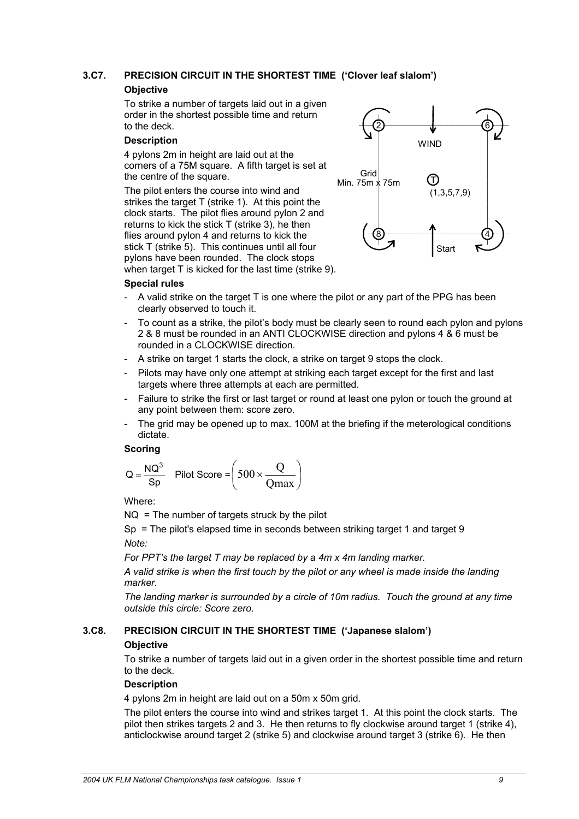# **3.C7. PRECISION CIRCUIT IN THE SHORTEST TIME ('Clover leaf slalom')**

#### **Objective**

To strike a number of targets laid out in a given order in the shortest possible time and return to the deck.

#### **Description**

4 pylons 2m in height are laid out at the corners of a 75M square. A fifth target is set at the centre of the square.

The pilot enters the course into wind and strikes the target T (strike 1). At this point the clock starts. The pilot flies around pylon 2 and returns to kick the stick T (strike 3), he then flies around pylon 4 and returns to kick the stick T (strike 5). This continues until all four pylons have been rounded. The clock stops when target T is kicked for the last time (strike 9).



#### **Special rules**

- A valid strike on the target  $\top$  is one where the pilot or any part of the PPG has been clearly observed to touch it.
- To count as a strike, the pilot's body must be clearly seen to round each pylon and pylons 2 & 8 must be rounded in an ANTI CLOCKWISE direction and pylons 4 & 6 must be rounded in a CLOCKWISE direction.
- A strike on target 1 starts the clock, a strike on target 9 stops the clock.
- Pilots may have only one attempt at striking each target except for the first and last targets where three attempts at each are permitted.
- Failure to strike the first or last target or round at least one pylon or touch the ground at any point between them: score zero.
- The grid may be opened up to max. 100M at the briefing if the meterological conditions dictate.

#### **Scoring**

$$
Q = \frac{NQ^3}{Sp}
$$
 Pilot Score =  $\left(500 \times \frac{Q}{Qmax}\right)$ 

Where:

NQ = The number of targets struck by the pilot

Sp = The pilot's elapsed time in seconds between striking target 1 and target 9 *Note:* 

*For PPT's the target T may be replaced by a 4m x 4m landing marker.* 

*A valid strike is when the first touch by the pilot or any wheel is made inside the landing marker.* 

*The landing marker is surrounded by a circle of 10m radius. Touch the ground at any time outside this circle: Score zero.* 

# **3.C8. PRECISION CIRCUIT IN THE SHORTEST TIME ('Japanese slalom')**

# **Objective**

To strike a number of targets laid out in a given order in the shortest possible time and return to the deck.

# **Description**

4 pylons 2m in height are laid out on a 50m x 50m grid.

The pilot enters the course into wind and strikes target 1. At this point the clock starts. The pilot then strikes targets 2 and 3. He then returns to fly clockwise around target 1 (strike 4), anticlockwise around target 2 (strike 5) and clockwise around target 3 (strike 6). He then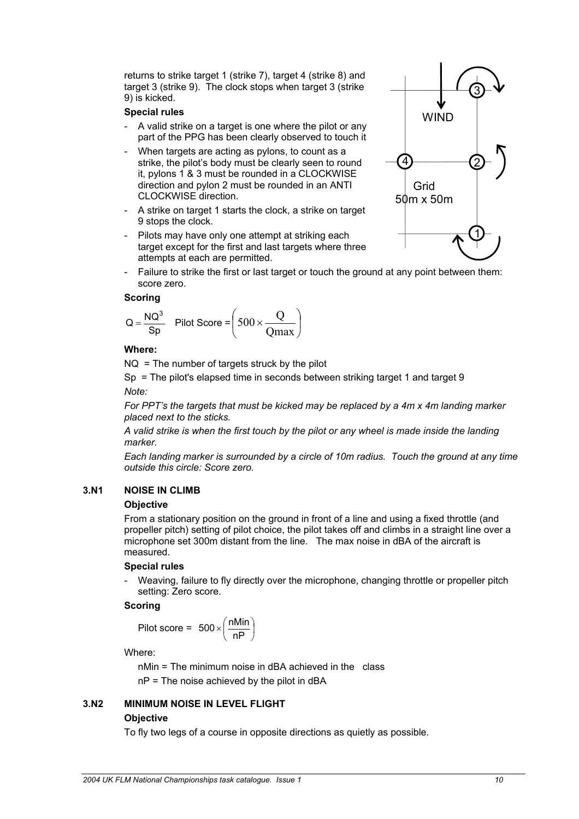returns to strike target 1 (strike 7), target 4 (strike 8) and target 3 (strike 9). The clock stops when target 3 (strike 9) is kicked.

#### **Special rules**

- A valid strike on a target is one where the pilot or any part of the PPG has been clearly observed to touch it
- When targets are acting as pylons, to count as a strike, the pilot's body must be clearly seen to round it, pylons 1 & 3 must be rounded in a CLOCKWISE direction and pylon 2 must be rounded in an ANTI CLOCKWISE direction.
- A strike on target 1 starts the clock, a strike on target 9 stops the clock.
- Pilots may have only one attempt at striking each target except for the first and last targets where three attempts at each are permitted.
- Failure to strike the first or last target or touch the ground at any point between them: score zero.

#### **Scoring**

$$
Q = \frac{NQ^3}{Sp} \quad \text{Pilot Score} = \left(500 \times \frac{Q}{Qmax}\right)
$$

#### **Where:**

 $NQ = The$  number of targets struck by the pilot

Sp = The pilot's elapsed time in seconds between striking target 1 and target 9 *Note:* 

*For PPT's the targets that must be kicked may be replaced by a 4m x 4m landing marker placed next to the sticks.* 

*A valid strike is when the first touch by the pilot or any wheel is made inside the landing marker.* 

*Each landing marker is surrounded by a circle of 10m radius. Touch the ground at any time outside this circle: Score zero.*

#### **3.N1 NOISE IN CLIMB**

#### **Objective**

From a stationary position on the ground in front of a line and using a fixed throttle (and propeller pitch) setting of pilot choice, the pilot takes off and climbs in a straight line over a microphone set 300m distant from the line. The max noise in dBA of the aircraft is measured.

#### **Special rules**

Weaving, failure to fly directly over the microphone, changing throttle or propeller pitch setting: Zero score.

#### **Scoring**

$$
Pilot score = 500 \times \left(\frac{nMin}{nP}\right)
$$

Where:

nMin = The minimum noise in dBA achieved in the class

nP = The noise achieved by the pilot in dBA

# **3.N2 MINIMUM NOISE IN LEVEL FLIGHT Objective**

To fly two legs of a course in opposite directions as quietly as possible.